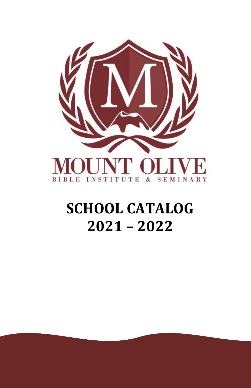

# **SCHOOL CATALOG 2021 – 2022**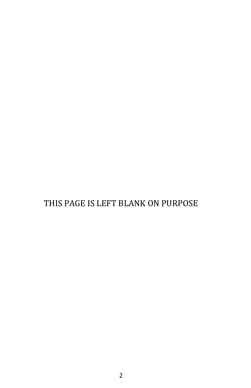# THIS PAGE IS LEFT BLANK ON PURPOSE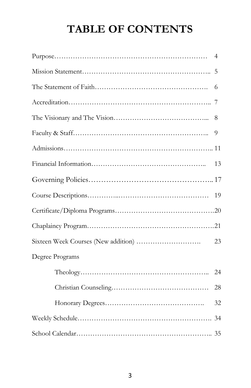# **TABLE OF CONTENTS**

|                 | 4  |
|-----------------|----|
|                 | 5  |
|                 | 6  |
|                 | 7  |
|                 | 8  |
|                 | 9  |
|                 |    |
|                 | 13 |
|                 |    |
|                 | 19 |
|                 |    |
|                 |    |
|                 | 23 |
| Degree Programs |    |
|                 | 24 |
|                 | 28 |
|                 | 32 |
|                 |    |
|                 |    |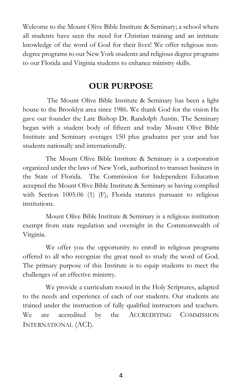Welcome to the Mount Olive Bible Institute & Seminary; a school where all students have seen the need for Christian training and an intimate knowledge of the word of God for their lives! We offer religious nondegree programs to our New York students and religious degree programs to our Florida and Virginia students to enhance ministry skills.

#### **OUR PURPOSE**

The Mount Olive Bible Institute & Seminary has been a light house to the Brooklyn area since 1986. We thank God for the vision He gave our founder the Late Bishop Dr. Randolph Austin. The Seminary began with a student body of fifteen and today Mount Olive Bible Institute and Seminary averages 150 plus graduates per year and has students nationally and internationally.

The Mount Olive Bible Institute & Seminary is a corporation organized under the laws of New York, authorized to transact business in the State of Florida. The Commission for Independent Education accepted the Mount Olive Bible Institute & Seminary as having complied with Section 1005.06 (1) (F), Florida statutes pursuant to religious institutions.

Mount Olive Bible Institute & Seminary is a religious institution exempt from state regulation and oversight in the Commonwealth of Virginia.

We offer you the opportunity to enroll in religious programs offered to all who recognize the great need to study the word of God. The primary purpose of this Institute is to equip students to meet the challenges of an effective ministry.

We provide a curriculum rooted in the Holy Scriptures, adapted to the needs and experience of each of our students. Our students are trained under the instruction of fully qualified instructors and teachers. We are accredited by the ACCREDITING COMMISSION INTERNATIONAL (ACI).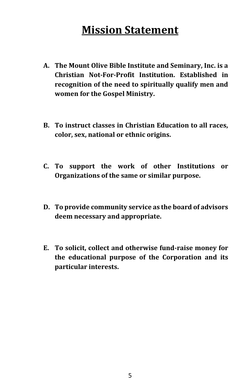# **Mission Statement**

- **A. The Mount Olive Bible Institute and Seminary, Inc. is a Christian Not-For-Profit Institution. Established in recognition of the need to spiritually qualify men and women for the Gospel Ministry.**
- **B. To instruct classes in Christian Education to all races, color, sex, national or ethnic origins.**
- **C. To support the work of other Institutions or Organizations of the same or similar purpose.**
- **D. To provide community service as the board of advisors deem necessary and appropriate.**
- **E. To solicit, collect and otherwise fund-raise money for the educational purpose of the Corporation and its particular interests.**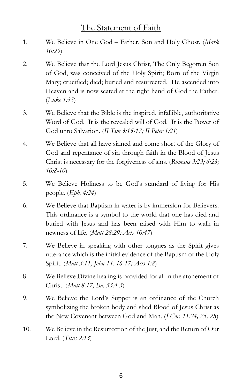### The Statement of Faith

- 1. We Believe in One God Father, Son and Holy Ghost. (*Mark 10:29*)
- 2. We Believe that the Lord Jesus Christ, The Only Begotten Son of God, was conceived of the Holy Spirit; Born of the Virgin Mary; crucified; died; buried and resurrected. He ascended into Heaven and is now seated at the right hand of God the Father. (*Luke 1:35*)
- 3. We Believe that the Bible is the inspired, infallible, authoritative Word of God. It is the revealed will of God. It is the Power of God unto Salvation. (*II Tim 3:15-17; II Peter 1:21*)
- 4. We Believe that all have sinned and come short of the Glory of God and repentance of sin through faith in the Blood of Jesus Christ is necessary for the forgiveness of sins. (*Romans 3:23; 6:23; 10:8-10*)
- 5. We Believe Holiness to be God's standard of living for His people. (*Eph. 4:24*)
- 6. We Believe that Baptism in water is by immersion for Believers. This ordinance is a symbol to the world that one has died and buried with Jesus and has been raised with Him to walk in newness of life. (*Matt 28:29; Acts 10:47*)
- 7. We Believe in speaking with other tongues as the Spirit gives utterance which is the initial evidence of the Baptism of the Holy Spirit. (*Matt 3:11; John 14: 16-17; Acts 1:8*)
- 8. We Believe Divine healing is provided for all in the atonement of Christ. (*Matt 8:17; Isa. 53:4-5*)
- 9. We Believe the Lord's Supper is an ordinance of the Church symbolizing the broken body and shed Blood of Jesus Christ as the New Covenant between God and Man. (*I Cor. 11:24, 25, 28*)
- 10. We Believe in the Resurrection of the Just, and the Return of Our Lord. (*Titus 2:13*)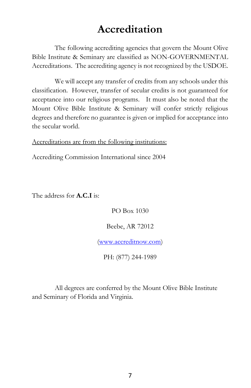# **Accreditation**

The following accrediting agencies that govern the Mount Olive Bible Institute & Seminary are classified as NON-GOVERNMENTAL Accreditations. The accrediting agency is not recognized by the USDOE.

We will accept any transfer of credits from any schools under this classification. However, transfer of secular credits is not guaranteed for acceptance into our religious programs. It must also be noted that the Mount Olive Bible Institute & Seminary will confer strictly religious degrees and therefore no guarantee is given or implied for acceptance into the secular world.

Accreditations are from the following institutions:

Accrediting Commission International since 2004

The address for **A.C.I** is:

PO Box 1030

Beebe, AR 72012

[\(www.accreditnow.com\)](http://www.accreditnow.com/)

PH: (877) 244-1989

All degrees are conferred by the Mount Olive Bible Institute and Seminary of Florida and Virginia.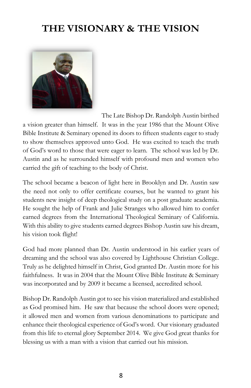# **THE VISIONARY & THE VISION**



The Late Bishop Dr. Randolph Austin birthed

a vision greater than himself. It was in the year 1986 that the Mount Olive Bible Institute & Seminary opened its doors to fifteen students eager to study to show themselves approved unto God. He was excited to teach the truth of God's word to those that were eager to learn. The school was led by Dr. Austin and as he surrounded himself with profound men and women who carried the gift of teaching to the body of Christ.

The school became a beacon of light here in Brooklyn and Dr. Austin saw the need not only to offer certificate courses, but he wanted to grant his students new insight of deep theological study on a post graduate academia. He sought the help of Frank and Julie Stranges who allowed him to confer earned degrees from the International Theological Seminary of California. With this ability to give students earned degrees Bishop Austin saw his dream, his vision took flight!

God had more planned than Dr. Austin understood in his earlier years of dreaming and the school was also covered by Lighthouse Christian College. Truly as he delighted himself in Christ, God granted Dr. Austin more for his faithfulness. It was in 2004 that the Mount Olive Bible Institute & Seminary was incorporated and by 2009 it became a licensed, accredited school.

Bishop Dr. Randolph Austin got to see his vision materialized and established as God promised him. He saw that because the school doors were opened; it allowed men and women from various denominations to participate and enhance their theological experience of God's word. Our visionary graduated from this life to eternal glory September 2014. We give God great thanks for blessing us with a man with a vision that carried out his mission.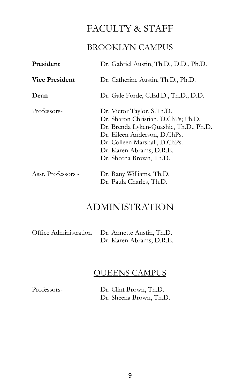## FACULTY & STAFF

### BROOKLYN CAMPUS

| Dr. Gabriel Austin, Th.D., D.D., Ph.D.<br>President |                                                                                                                                                                                                                                     |  |
|-----------------------------------------------------|-------------------------------------------------------------------------------------------------------------------------------------------------------------------------------------------------------------------------------------|--|
| <b>Vice President</b>                               | Dr. Catherine Austin, Th.D., Ph.D.                                                                                                                                                                                                  |  |
| Dean                                                | Dr. Gale Forde, C.Ed.D., Th.D., D.D.                                                                                                                                                                                                |  |
| Professors-                                         | Dr. Victor Taylor, S.Th.D.<br>Dr. Sharon Christian, D.ChPs; Ph.D.<br>Dr. Brenda Lyken-Quashie, Th.D., Ph.D.<br>Dr. Eileen Anderson, D.ChPs.<br>Dr. Colleen Marshall, D.ChPs.<br>Dr. Karen Abrams, D.R.E.<br>Dr. Sheena Brown, Th.D. |  |
| Asst. Professors -                                  | Dr. Rany Williams, Th.D.<br>Dr. Paula Charles, Th.D.                                                                                                                                                                                |  |

# ADMINISTRATION

| Office Administration Dr. Annette Austin, Th.D. |
|-------------------------------------------------|
| Dr. Karen Abrams, D.R.E.                        |

### QUEENS CAMPUS

Professors- Dr. Clint Brown, Th.D. Dr. Sheena Brown, Th.D.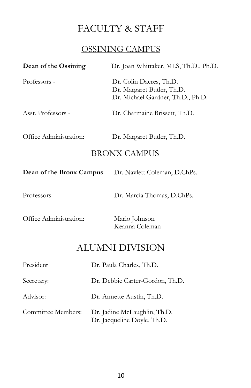# FACULTY & STAFF

#### OSSINING CAMPUS

| Dean of the Ossining                                     | Dr. Joan Whittaker, MLS, Th.D., Ph.D.                                                      |  |  |
|----------------------------------------------------------|--------------------------------------------------------------------------------------------|--|--|
| Professors -                                             | Dr. Colin Dacres, Th.D.<br>Dr. Margaret Butler, Th.D.<br>Dr. Michael Gardner, Th.D., Ph.D. |  |  |
| Asst. Professors -                                       | Dr. Charmaine Brissett, Th.D.                                                              |  |  |
| Office Administration:                                   | Dr. Margaret Butler, Th.D.<br><u>BRONX CAMPUS</u>                                          |  |  |
| Dean of the Bronx Campus<br>Dr. Navlett Coleman, D.ChPs. |                                                                                            |  |  |
| Professors -                                             | Dr. Marcia Thomas, D.ChPs.                                                                 |  |  |
| Office Administration:                                   | Mario Johnson<br>Keanna Coleman                                                            |  |  |
| ALUMNI DIVISION                                          |                                                                                            |  |  |
| President                                                | Dr. Paula Charles, Th.D.                                                                   |  |  |
| Dr. Debbie Carter-Gordon, Th.D.<br>Secretary:            |                                                                                            |  |  |
| Advisor:                                                 | Dr. Annette Austin, Th.D.                                                                  |  |  |

Committee Members: Dr. Jadine McLaughlin, Th.D. Dr. Jacqueline Doyle, Th.D.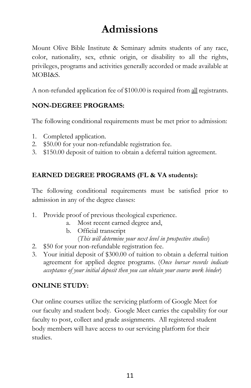# **Admissions**

Mount Olive Bible Institute & Seminary admits students of any race, color, nationality, sex, ethnic origin, or disability to all the rights, privileges, programs and activities generally accorded or made available at MOBI&S.

A non-refunded application fee of \$100.00 is required from all registrants.

#### **NON-DEGREE PROGRAMS:**

The following conditional requirements must be met prior to admission:

- 1. Completed application.
- 2. \$50.00 for your non-refundable registration fee.
- 3. \$150.00 deposit of tuition to obtain a deferral tuition agreement.

#### **EARNED DEGREE PROGRAMS (FL & VA students):**

The following conditional requirements must be satisfied prior to admission in any of the degree classes:

- 1. Provide proof of previous theological experience.
	- a. Most recent earned degree and,
	- b. Official transcript (*This will determine your next level in prospective studies*)
- 2. \$50 for your non-refundable registration fee.
- 3. Your initial deposit of \$300.00 of tuition to obtain a deferral tuition agreement for applied degree programs. (*Once bursar records indicate acceptance of your initial deposit then you can obtain your course work binder*)

#### **ONLINE STUDY:**

Our online courses utilize the servicing platform of Google Meet for our faculty and student body. Google Meet carries the capability for our faculty to post, collect and grade assignments. All registered student body members will have access to our servicing platform for their studies.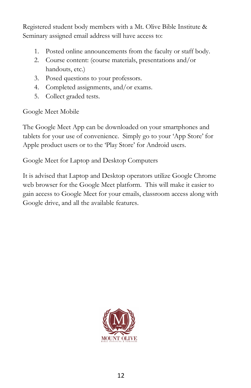Registered student body members with a Mt. Olive Bible Institute & Seminary assigned email address will have access to:

- 1. Posted online announcements from the faculty or staff body.
- 2. Course content: (course materials, presentations and/or handouts, etc.)
- 3. Posed questions to your professors.
- 4. Completed assignments, and/or exams.
- 5. Collect graded tests.

Google Meet Mobile

The Google Meet App can be downloaded on your smartphones and tablets for your use of convenience. Simply go to your 'App Store' for Apple product users or to the 'Play Store' for Android users.

Google Meet for Laptop and Desktop Computers

It is advised that Laptop and Desktop operators utilize Google Chrome web browser for the Google Meet platform. This will make it easier to gain access to Google Meet for your emails, classroom access along with Google drive, and all the available features.

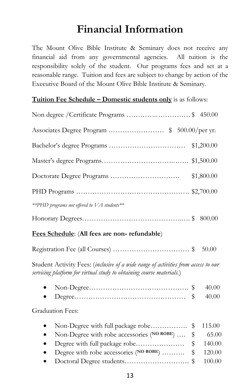# **Financial Information**

The Mount Olive Bible Institute & Seminary does not receive any financial aid from any governmental agencies. All tuition is the responsibility solely of the student. Our programs fees and set at a reasonable range. Tuition and fees are subject to change by action of the Executive Board of the Mount Olive Bible Institute & Seminary.

#### **Tuition Fee Schedule – Domestic students only** is as follows:

| Non degree / Certificate Programs \$ 450.00 |            |
|---------------------------------------------|------------|
| Associates Degree Program \$ 500.00/per yr. |            |
|                                             |            |
|                                             |            |
|                                             | \$1,800.00 |
|                                             |            |
| **PHD programs not offered to VA students** |            |
|                                             |            |

#### **Fees Schedule**: (**All fees are non- refundable**)

Student Activity Fees: (*inclusive of a wide range of activities from access to our servicing platform for virtual study to obtaining course materials.*)

#### Graduation Fees:

| • Non-Degree with full package robe\$ 115.00               |  |
|------------------------------------------------------------|--|
| • Non-Degree with robe accessories ( $N$ O ROBE)  \$ 65.00 |  |
|                                                            |  |
| • Degree with robe accessories ( $N$ O ROBE)  \$ 120.00    |  |
|                                                            |  |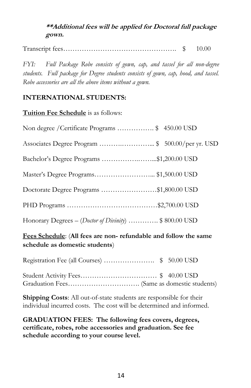#### **\*\*Additional fees will be applied for Doctoral full package gown.**

Transcript fees…………………………………………. \$ 10.00

*FYI: Full Package Robe consists of gown, cap, and tassel for all non-degree students. Full package for Degree students consists of gown, cap, hood, and tassel. Robe accessories are all the above items without a gown.*

#### **INTERNATIONAL STUDENTS:**

**Tuition Fee Schedule** is as follows:

| Non degree / Certificate Programs \$ 450.00 USD                |
|----------------------------------------------------------------|
| Associates Degree Program \$ 500.00/per yr. USD                |
| Bachelor's Degree Programs \$1,200.00 USD                      |
| Master's Degree Programs \$1,500.00 USD                        |
| Doctorate Degree Programs \$1,800.00 USD                       |
|                                                                |
| Honorary Degrees – ( <i>Doctor of Divinity</i> ) \$ 800.00 USD |

#### **Fees Schedule**: (**All fees are non- refundable and follow the same schedule as domestic students**)

Registration Fee (all Courses) …………………. \$ 50.00 USD

Student Activity Fees…………………………… \$ 40.00 USD Graduation Fees…………………………. (Same as domestic students)

**Shipping Costs**: All out-of-state students are responsible for their individual incurred costs. The cost will be determined and informed.

**GRADUATION FEES: The following fees covers, degrees, certificate, robes, robe accessories and graduation. See fee schedule according to your course level.**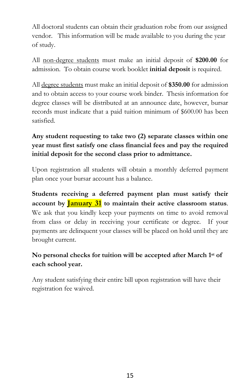All doctoral students can obtain their graduation robe from our assigned vendor. This information will be made available to you during the year of study.

All non-degree students must make an initial deposit of **\$200.00** for admission. To obtain course work booklet **initial deposit** is required.

All degree students must make an initial deposit of **\$350.00** for admission and to obtain access to your course work binder. Thesis information for degree classes will be distributed at an announce date, however, bursar records must indicate that a paid tuition minimum of \$600.00 has been satisfied.

#### **Any student requesting to take two (2) separate classes within one year must first satisfy one class financial fees and pay the required initial deposit for the second class prior to admittance.**

Upon registration all students will obtain a monthly deferred payment plan once your bursar account has a balance.

**Students receiving a deferred payment plan must satisfy their account by January 31 to maintain their active classroom status**. We ask that you kindly keep your payments on time to avoid removal from class or delay in receiving your certificate or degree. If your payments are delinquent your classes will be placed on hold until they are brought current.

#### **No personal checks for tuition will be accepted after March 1 st of each school year.**

Any student satisfying their entire bill upon registration will have their registration fee waived.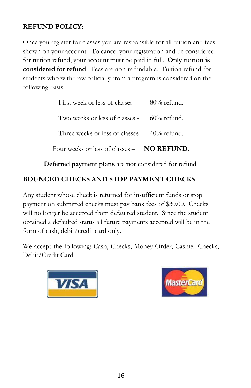#### **REFUND POLICY:**

Once you register for classes you are responsible for all tuition and fees shown on your account. To cancel your registration and be considered for tuition refund, your account must be paid in full. **Only tuition is considered for refund**. Fees are non-refundable. Tuition refund for students who withdraw officially from a program is considered on the following basis:

| Four weeks or less of classes $-$ <b>NO REFUND</b> . |                |
|------------------------------------------------------|----------------|
| Three weeks or less of classes- $40\%$ refund.       |                |
| Two weeks or less of classes $-$ 60% refund.         |                |
| First week or less of classes-                       | $80\%$ refund. |

**Deferred payment plans** are **not** considered for refund.

#### **BOUNCED CHECKS AND STOP PAYMENT CHECKS**

Any student whose check is returned for insufficient funds or stop payment on submitted checks must pay bank fees of \$30.00. Checks will no longer be accepted from defaulted student. Since the student obtained a defaulted status all future payments accepted will be in the form of cash, debit/credit card only.

We accept the following: Cash, Checks, Money Order, Cashier Checks, Debit/Credit Card



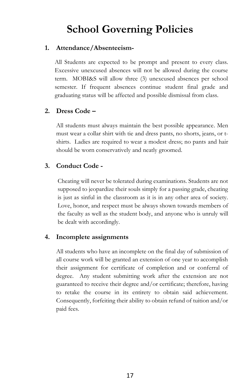# **School Governing Policies**

#### **1. Attendance/Absenteeism-**

All Students are expected to be prompt and present to every class. Excessive unexcused absences will not be allowed during the course term. MOBI&S will allow three (3) unexcused absences per school semester. If frequent absences continue student final grade and graduating status will be affected and possible dismissal from class.

#### **2. Dress Code –**

All students must always maintain the best possible appearance. Men must wear a collar shirt with tie and dress pants, no shorts, jeans, or tshirts. Ladies are required to wear a modest dress; no pants and hair should be worn conservatively and neatly groomed.

#### **3. Conduct Code -**

Cheating will never be tolerated during examinations. Students are not supposed to jeopardize their souls simply for a passing grade, cheating is just as sinful in the classroom as it is in any other area of society. Love, honor, and respect must be always shown towards members of the faculty as well as the student body, and anyone who is unruly will be dealt with accordingly.

#### **4. Incomplete assignments**

All students who have an incomplete on the final day of submission of all course work will be granted an extension of one year to accomplish their assignment for certificate of completion and or conferral of degree. Any student submitting work after the extension are not guaranteed to receive their degree and/or certificate; therefore, having to retake the course in its entirety to obtain said achievement. Consequently, forfeiting their ability to obtain refund of tuition and/or paid fees.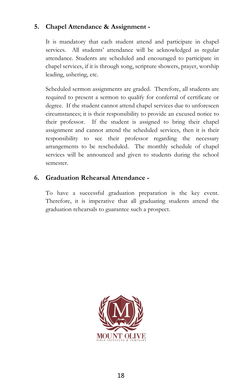#### **5. Chapel Attendance & Assignment -**

It is mandatory that each student attend and participate in chapel services. All students' attendance will be acknowledged as regular attendance. Students are scheduled and encouraged to participate in chapel services, if it is through song, scripture showers, prayer, worship leading, ushering, etc.

Scheduled sermon assignments are graded. Therefore, all students are required to present a sermon to qualify for conferral of certificate or degree. If the student cannot attend chapel services due to unforeseen circumstances; it is their responsibility to provide an excused notice to their professor. If the student is assigned to bring their chapel assignment and cannot attend the scheduled services, then it is their responsibility to see their professor regarding the necessary arrangements to be rescheduled. The monthly schedule of chapel services will be announced and given to students during the school semester.

#### **6. Graduation Rehearsal Attendance -**

To have a successful graduation preparation is the key event. Therefore, it is imperative that all graduating students attend the graduation rehearsals to guarantee such a prospect.

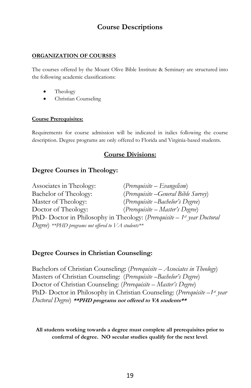#### **Course Descriptions**

#### **ORGANIZATION OF COURSES**

The courses offered by the Mount Olive Bible Institute & Seminary are structured into the following academic classifications:

- Theology
- Christian Counseling

#### **Course Prerequisites:**

Requirements for course admission will be indicated in italics following the course description. Degree programs are only offered to Florida and Virginia-based students.

#### **Course Divisions:**

#### **Degree Courses in Theology:**

Associates in Theology: (*Prerequisite – Evangelism*) Bachelor of Theology: (*Prerequisite –General Bible Survey*) Master of Theology: (*Prerequisite –Bachelor's Degree*) Doctor of Theology: (*Prerequisite – Master's Degree*) PhD- Doctor in Philosophy in Theology: (*Prerequisite – 1st year Doctoral Degree*) *\*\*PHD programs not offered to VA students\*\**

#### **Degree Courses in Christian Counseling:**

Bachelors of Christian Counseling**:** (*Prerequisite – Associates in Theology*) Masters of Christian Counseling: (*Prerequisite –Bachelor's Degree*) Doctor of Christian Counseling: (*Prerequisite – Master's Degree*) PhD- Doctor in Philosophy in Christian Counseling: (*Prerequisite –1st year Doctoral Degree*) **\*\*PHD programs not offered to VA students\*\***

**All students working towards a degree must complete all prerequisites prior to conferral of degree. NO secular studies qualify for the next level**.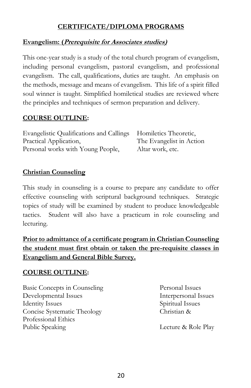#### **CERTIFICATE/DIPLOMA PROGRAMS**

#### **Evangelism: (Prerequisite for Associates studies)**

This one-year study is a study of the total church program of evangelism, including personal evangelism, pastoral evangelism, and professional evangelism. The call, qualifications, duties are taught. An emphasis on the methods, message and means of evangelism. This life of a spirit filled soul winner is taught. Simplified homiletical studies are reviewed where the principles and techniques of sermon preparation and delivery.

#### **COURSE OUTLINE:**

| Evangelistic Qualifications and Callings Homiletics Theoretic, |                          |
|----------------------------------------------------------------|--------------------------|
| Practical Application,                                         | The Evangelist in Action |
| Personal works with Young People,                              | Altar work, etc.         |

#### **Christian Counseling**

This study in counseling is a course to prepare any candidate to offer effective counseling with scriptural background techniques. Strategic topics of study will be examined by student to produce knowledgeable tactics. Student will also have a practicum in role counseling and lecturing.

#### **Prior to admittance of a certificate program in Christian Counseling the student must first obtain or taken the pre-requisite classes in Evangelism and General Bible Survey.**

#### **COURSE OUTLINE:**

Basic Concepts in Counseling Personal Issues Developmental Issues Interpersonal Issues Identity Issues Spiritual Issues Concise Systematic Theology Christian & Professional Ethics Public Speaking Lecture & Role Play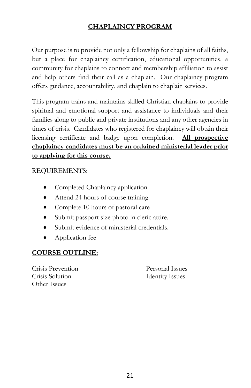#### **CHAPLAINCY PROGRAM**

Our purpose is to provide not only a fellowship for chaplains of all faiths, but a place for chaplaincy certification, educational opportunities, a community for chaplains to connect and membership affiliation to assist and help others find their call as a chaplain. Our chaplaincy program offers guidance, accountability, and chaplain to chaplain services.

This program trains and maintains skilled Christian chaplains to provide spiritual and emotional support and assistance to individuals and their families along to public and private institutions and any other agencies in times of crisis. Candidates who registered for chaplaincy will obtain their licensing certificate and badge upon completion. **All prospective chaplaincy candidates must be an ordained ministerial leader prior to applying for this course.** 

REQUIREMENTS:

- Completed Chaplaincy application
- Attend 24 hours of course training.
- Complete 10 hours of pastoral care
- Submit passport size photo in cleric attire.
- Submit evidence of ministerial credentials.
- Application fee

#### **COURSE OUTLINE:**

Crisis Prevention Personal Issues Crisis Solution Identity Issues Other Issues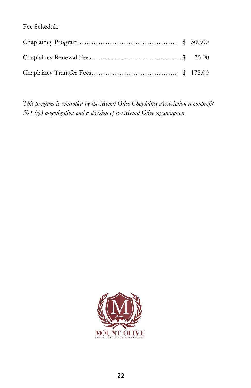Fee Schedule:

*This program is controlled by the Mount Olive Chaplaincy Association a nonprofit 501 (c)3 organization and a division of the Mount Olive organization.*

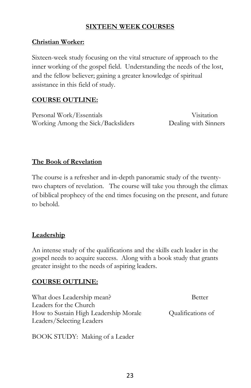#### **SIXTEEN WEEK COURSES**

#### **Christian Worker:**

Sixteen-week study focusing on the vital structure of approach to the inner working of the gospel field. Understanding the needs of the lost, and the fellow believer; gaining a greater knowledge of spiritual assistance in this field of study.

#### **COURSE OUTLINE:**

Personal Work/Essentials Visitation Working Among the Sick/Backsliders Dealing with Sinners

#### **The Book of Revelation**

The course is a refresher and in-depth panoramic study of the twentytwo chapters of revelation. The course will take you through the climax of biblical prophecy of the end times focusing on the present, and future to behold.

#### **Leadership**

An intense study of the qualifications and the skills each leader in the gospel needs to acquire success. Along with a book study that grants greater insight to the needs of aspiring leaders.

#### **COURSE OUTLINE:**

| What does Leadership mean?            | <b>Better</b>     |
|---------------------------------------|-------------------|
| Leaders for the Church                |                   |
| How to Sustain High Leadership Morale | Qualifications of |
| Leaders/Selecting Leaders             |                   |

BOOK STUDY: Making of a Leader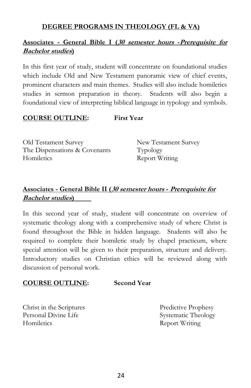#### **DEGREE PROGRAMS IN THEOLOGY (FL & VA)**

#### **Associates - General Bible I (30 semester hours -Prerequisite for Bachelor studies)**

In this first year of study, student will concentrate on foundational studies which include Old and New Testament panoramic view of chief events, prominent characters and main themes. Studies will also include homiletics studies in sermon preparation in theory. Students will also begin a foundational view of interpreting biblical language in typology and symbols.

#### **COURSE OUTLINE: First Year**

Old Testament Survey New Testament Survey The Dispensations & Covenants Typology Homiletics Report Writing

#### **Associates - General Bible II (30 semester hours - Prerequisite for Bachelor studies)**

In this second year of study, student will concentrate on overview of systematic theology along with a comprehensive study of where Christ is found throughout the Bible in hidden language. Students will also be required to complete their homiletic study by chapel practicum, where special attention will be given to their preparation, structure and delivery. Introductory studies on Christian ethics will be reviewed along with discussion of personal work.

#### **COURSE OUTLINE: Second Year**

Christ in the Scriptures Predictive Prophesy Personal Divine Life Systematic Theology Homiletics Report Writing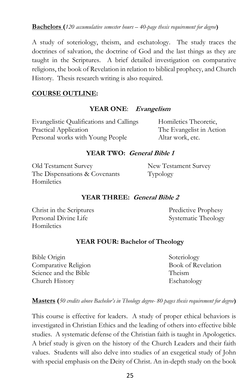**Bachelors (***120 accumulative semester hours – 40-page thesis requirement for degree***)**

A study of soteriology, theism, and eschatology. The study traces the doctrines of salvation, the doctrine of God and the last things as they are taught in the Scriptures. A brief detailed investigation on comparative religions, the book of Revelation in relation to biblical prophecy, and Church History. Thesis research writing is also required.

#### **COURSE OUTLINE:**

#### **YEAR ONE**: **Evangelism**

Evangelistic Qualifications and Callings Homiletics Theoretic, Practical Application The Evangelist in Action Personal works with Young People Altar work, etc.

#### **YEAR TWO: General Bible 1**

Old Testament Survey New Testament Survey The Dispensations & Covenants Typology **Homiletics** 

#### **YEAR THREE: General Bible 2**

Christ in the Scriptures Predictive Prophesy Personal Divine Life Systematic Theology **Homiletics** 

#### **YEAR FOUR: Bachelor of Theology**

Bible Origin Soteriology Comparative Religion Book of Revelation Science and the Bible Theism Church History Eschatology

**Masters (***50 credits above Bachelor's in Theology degree- 80 pages thesis requirement for degree***)**

This course is effective for leaders. A study of proper ethical behaviors is investigated in Christian Ethics and the leading of others into effective bible studies. A systematic defense of the Christian faith is taught in Apologetics. A brief study is given on the history of the Church Leaders and their faith values. Students will also delve into studies of an exegetical study of John with special emphasis on the Deity of Christ. An in-depth study on the book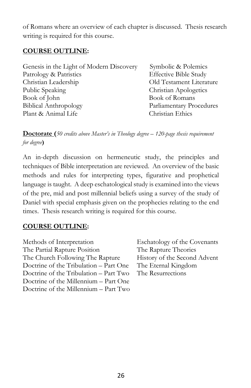of Romans where an overview of each chapter is discussed. Thesis research writing is required for this course.

#### **COURSE OUTLINE:**

| Genesis in the Light of Modern Discovery | Symbolic & Polemics          |
|------------------------------------------|------------------------------|
| Patrology & Patristics                   | <b>Effective Bible Study</b> |
| Christian Leadership                     | Old Testament Literature     |
| Public Speaking                          | Christian Apologetics        |
| Book of John                             | <b>Book of Romans</b>        |
| <b>Biblical Anthropology</b>             | Parliamentary Procedures     |
| Plant & Animal Life                      | Christian Ethics             |

**Doctorate (***50 credits above Master's in Theology degree – 120-page thesis requirement for degree***)**

An in-depth discussion on hermeneutic study, the principles and techniques of Bible interpretation are reviewed. An overview of the basic methods and rules for interpreting types, figurative and prophetical language is taught. A deep eschatological study is examined into the views of the pre, mid and post millennial beliefs using a survey of the study of Daniel with special emphasis given on the prophecies relating to the end times. Thesis research writing is required for this course.

#### **COURSE OUTLINE:**

| Methods of Interpretation              |
|----------------------------------------|
| The Partial Rapture Position           |
| The Church Following The Rapture       |
| Doctrine of the Tribulation - Part One |
| Doctrine of the Tribulation - Part Two |
| Doctrine of the Millennium - Part One  |
| Doctrine of the Millennium - Part Two  |

Eschatology of the Covenants The Rapture Theories History of the Second Advent The Eternal Kingdom The Resurrections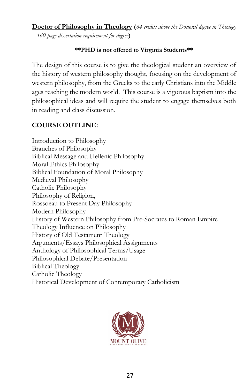**Doctor of Philosophy in Theology (***64 credits above the Doctoral degree in Theology – 160-page dissertation requirement for degree***)**

#### **\*\*PHD is not offered to Virginia Students\*\***

The design of this course is to give the theological student an overview of the history of western philosophy thought, focusing on the development of western philosophy, from the Greeks to the early Christians into the Middle ages reaching the modern world. This course is a vigorous baptism into the philosophical ideas and will require the student to engage themselves both in reading and class discussion.

#### **COURSE OUTLINE:**

Introduction to Philosophy Branches of Philosophy Biblical Message and Hellenic Philosophy Moral Ethics Philosophy Biblical Foundation of Moral Philosophy Medieval Philosophy Catholic Philosophy Philosophy of Religion, Rossoeau to Present Day Philosophy Modern Philosophy History of Western Philosophy from Pre-Socrates to Roman Empire Theology Influence on Philosophy History of Old Testament Theology Arguments/Essays Philosophical Assignments Anthology of Philosophical Terms/Usage Philosophical Debate/Presentation Biblical Theology Catholic Theology Historical Development of Contemporary Catholicism

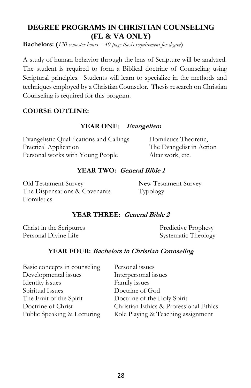#### **DEGREE PROGRAMS IN CHRISTIAN COUNSELING (FL & VA ONLY)**

**Bachelors: (***120 semester hours – 40-page thesis requirement for degree***)**

A study of human behavior through the lens of Scripture will be analyzed. The student is required to form a Biblical doctrine of Counseling using Scriptural principles. Students will learn to specialize in the methods and techniques employed by a Christian Counselor. Thesis research on Christian Counseling is required for this program.

#### **COURSE OUTLINE:**

#### **YEAR ONE**: **Evangelism**

Evangelistic Qualifications and Callings Homiletics Theoretic, Practical Application The Evangelist in Action Personal works with Young People Altar work, etc.

#### **YEAR TWO: General Bible 1**

Old Testament Survey New Testament Survey The Dispensations & Covenants Typology **Homiletics** 

#### **YEAR THREE: General Bible 2**

Christ in the Scriptures Predictive Prophesy Personal Divine Life Systematic Theology

#### **YEAR FOUR: Bachelors in Christian Counseling**

| Basic concepts in counseling | Personal issues                        |
|------------------------------|----------------------------------------|
| Developmental issues         | Interpersonal issues                   |
| Identity issues              | Family issues                          |
| Spiritual Issues             | Doctrine of God                        |
| The Fruit of the Spirit      | Doctrine of the Holy Spirit            |
| Doctrine of Christ           | Christian Ethics & Professional Ethics |
| Public Speaking & Lecturing  | Role Playing & Teaching assignment     |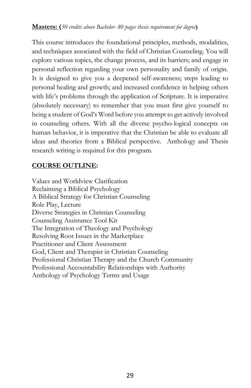#### **Masters: (***50 credits above Bachelor- 80 pages thesis requirement for degree***)**

This course introduces the foundational principles, methods, modalities, and techniques associated with the field of Christian Counseling. You will explore various topics, the change process, and its barriers; and engage in personal reflection regarding your own personality and family of origin. It is designed to give you a deepened self-awareness; steps leading to personal healing and growth; and increased confidence in helping others with life's problems through the application of Scripture. It is imperative (absolutely necessary) to remember that you must first give yourself to being a student of God's Word before you attempt to get actively involved in counseling others. With all the diverse psycho-logical concepts on human behavior, it is imperative that the Christian be able to evaluate all ideas and theories from a Biblical perspective. Anthology and Thesis research writing is required for this program.

#### **COURSE OUTLINE:**

Values and Worldview Clarification Reclaiming a Biblical Psychology A Biblical Strategy for Christian Counseling Role Play, Lecture Diverse Strategies in Christian Counseling Counseling Assistance Tool Kit The Integration of Theology and Psychology Resolving Root Issues in the Marketplace Practitioner and Client Assessment God, Client and Therapist in Christian Counseling Professional Christian Therapy and the Church Community Professional Accountability Relationships with Authority Anthology of Psychology Terms and Usage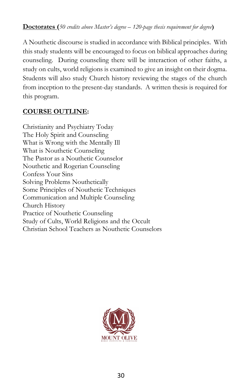#### **Doctorates (***50 credits above Master's degree – 120-page thesis requirement for degree***)**

A Nouthetic discourse is studied in accordance with Biblical principles. With this study students will be encouraged to focus on biblical approaches during counseling. During counseling there will be interaction of other faiths, a study on cults, world religions is examined to give an insight on their dogma. Students will also study Church history reviewing the stages of the church from inception to the present-day standards. A written thesis is required for this program.

#### **COURSE OUTLINE:**

Christianity and Psychiatry Today The Holy Spirit and Counseling What is Wrong with the Mentally Ill What is Nouthetic Counseling The Pastor as a Nouthetic Counselor Nouthetic and Rogerian Counseling Confess Your Sins Solving Problems Nouthetically Some Principles of Nouthetic Techniques Communication and Multiple Counseling Church History Practice of Nouthetic Counseling Study of Cults, World Religions and the Occult Christian School Teachers as Nouthetic Counselors

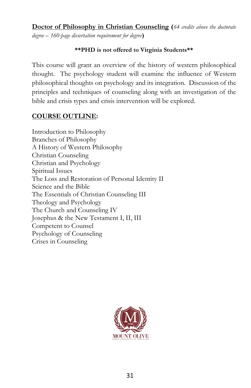**Doctor of Philosophy in Christian Counseling (***64 credits above the doctorate degree – 160-page dissertation requirement for degree***)**

#### **\*\*PHD is not offered to Virginia Students\*\***

This course will grant an overview of the history of western philosophical thought. The psychology student will examine the influence of Western philosophical thoughts on psychology and its integration. Discussion of the principles and techniques of counseling along with an investigation of the bible and crisis types and crisis intervention will be explored.

#### **COURSE OUTLINE:**

Introduction to Philosophy Branches of Philosophy A History of Western Philosophy Christian Counseling Christian and Psychology Spiritual Issues The Loss and Restoration of Personal Identity II Science and the Bible The Essentials of Christian Counseling III Theology and Psychology The Church and Counseling IV Josephus & the New Testament I, II, III Competent to Counsel Psychology of Counseling Crises in Counseling

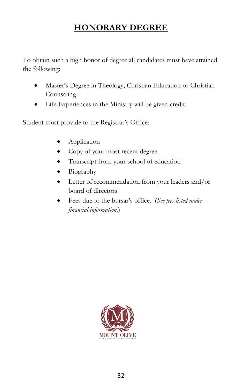# **HONORARY DEGREE**

To obtain such a high honor of degree all candidates must have attained the following:

- Master's Degree in Theology, Christian Education or Christian Counseling
- Life Experiences in the Ministry will be given credit.

Student must provide to the Registrar's Office:

- **Application**
- Copy of your most recent degree.
- Transcript from your school of education
- Biography
- Letter of recommendation from your leaders and/or board of directors
- Fees due to the bursar's office. (*See fees listed under financial information.*)

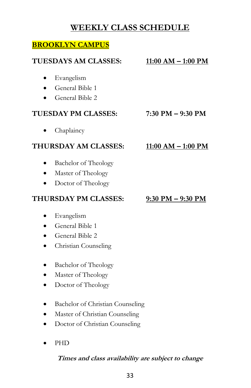## **WEEKLY CLASS SCHEDULE**

#### **BROOKLYN CAMPUS**

# **TUESDAYS AM CLASSES: 11:00 AM – 1:00 PM** • Evangelism • General Bible 1 • General Bible 2 **TUESDAY PM CLASSES: 7:30 PM – 9:30 PM** Chaplaincy **THURSDAY AM CLASSES: 11:00 AM – 1:00 PM** • Bachelor of Theology • Master of Theology • Doctor of Theology **THURSDAY PM CLASSES: 9:30 PM – 9:30 PM**

- Evangelism
- General Bible 1
- General Bible 2
- Christian Counseling
- Bachelor of Theology
- Master of Theology
- Doctor of Theology
- Bachelor of Christian Counseling
- Master of Christian Counseling
- Doctor of Christian Counseling
- PHD

#### **Times and class availability are subject to change**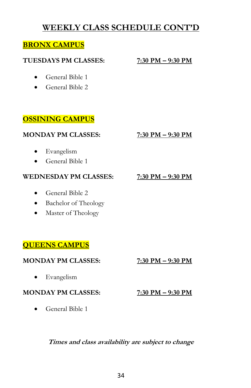## **WEEKLY CLASS SCHEDULE CONT'D**

#### **BRONX CAMPUS**

#### **TUESDAYS PM CLASSES: 7:30 PM – 9:30 PM**

- General Bible 1
- General Bible 2

### **OSSINING CAMPUS**

#### **MONDAY PM CLASSES: 7:30 PM – 9:30 PM**

- Evangelism
- General Bible 1

#### **WEDNESDAY PM CLASSES: 7:30 PM – 9:30 PM**

- General Bible 2
- Bachelor of Theology
- Master of Theology

### **QUEENS CAMPUS**

#### **MONDAY PM CLASSES: 7:30 PM – 9:30 PM**

• Evangelism

#### **MONDAY PM CLASSES: 7:30 PM – 9:30 PM**

• General Bible 1

#### **Times and class availability are subject to change**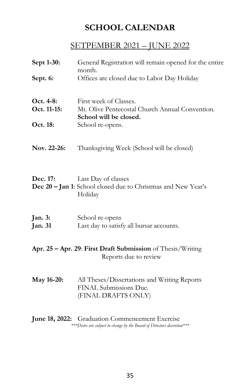# **SCHOOL CALENDAR**

### SETPEMBER 2021 – JUNE 2022

| Sept 1-30:                                                                           | General Registration will remain opened for the entire<br>month.                                |  |
|--------------------------------------------------------------------------------------|-------------------------------------------------------------------------------------------------|--|
| Sept. 6:                                                                             | Offices are closed due to Labor Day Holiday                                                     |  |
| Oct. 4-8:<br>Oct. 11-15:                                                             | First week of Classes.<br>Mt. Olive Pentecostal Church Annual Convention.                       |  |
| Oct. 18:                                                                             | School will be closed.<br>School re-opens.                                                      |  |
| Nov. 22-26:                                                                          | Thanksgiving Week (School will be closed)                                                       |  |
| Dec. 17:                                                                             | Last Day of classes<br>Dec 20 - Jan 1: School closed due to Christmas and New Year's<br>Holiday |  |
| Jan. 3:<br><b>Jan. 31</b>                                                            | School re-opens<br>Last day to satisfy all bursar accounts.                                     |  |
| Apr. 25 – Apr. 29: First Draft Submission of Thesis/Writing<br>Reports due to review |                                                                                                 |  |
| May 16-20:                                                                           | All Theses/Dissertations and Writing Reports<br>FINAL Submissions Due.<br>(FINAL DRAFTS ONLY)   |  |
|                                                                                      | June 18, 2022: Graduation Commencement Exercise<br>$I: I: I \cup I$ $I: I \cup I$               |  |

*\*\*\*Dates are subject to change by the Board of Directors discretion\*\*\**